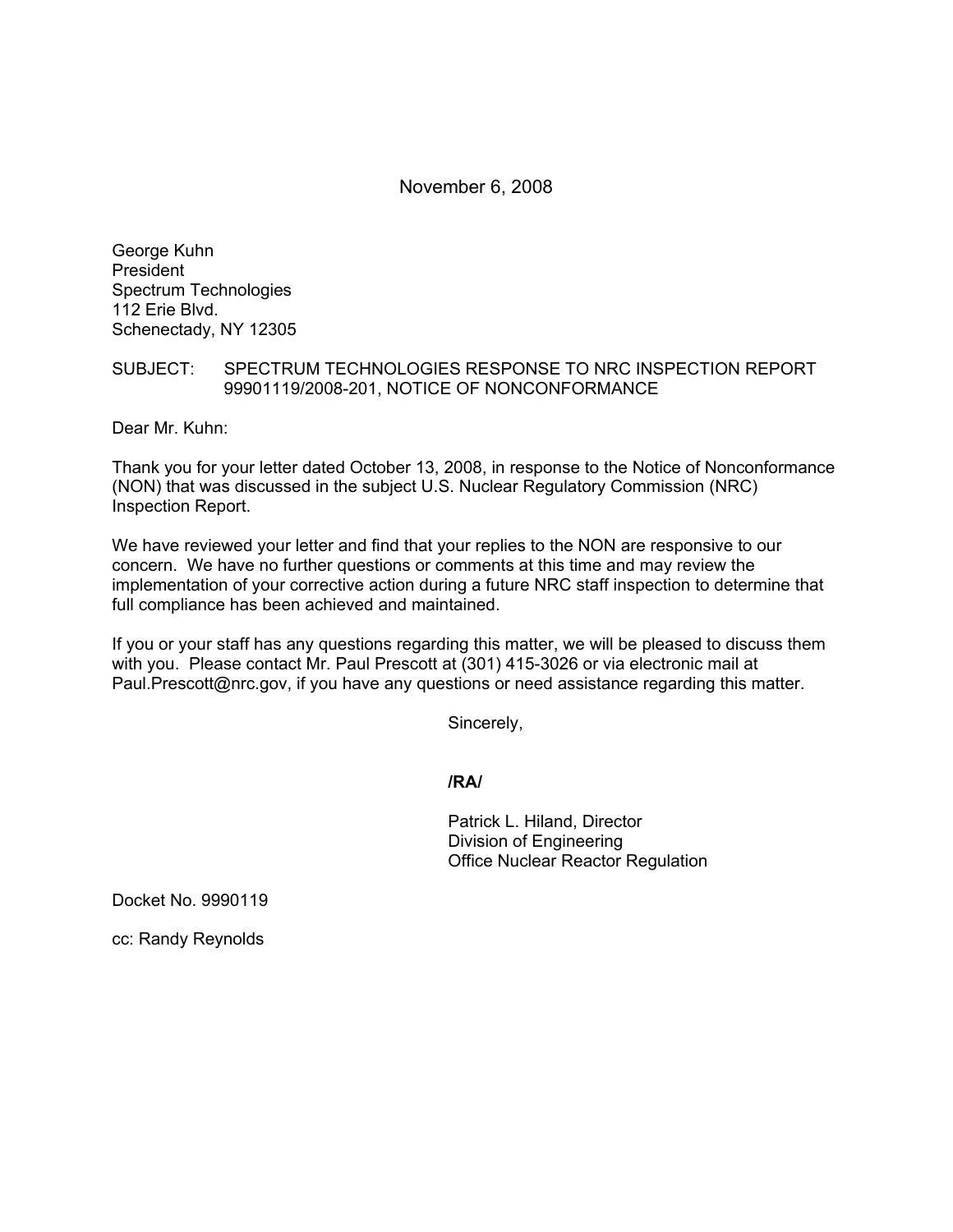November 6, 2008

George Kuhn President Spectrum Technologies 112 Erie Blvd. Schenectady, NY 12305

## SUBJECT: SPECTRUM TECHNOLOGIES RESPONSE TO NRC INSPECTION REPORT 99901119/2008-201, NOTICE OF NONCONFORMANCE

Dear Mr. Kuhn:

Thank you for your letter dated October 13, 2008, in response to the Notice of Nonconformance (NON) that was discussed in the subject U.S. Nuclear Regulatory Commission (NRC) Inspection Report.

We have reviewed your letter and find that your replies to the NON are responsive to our concern. We have no further questions or comments at this time and may review the implementation of your corrective action during a future NRC staff inspection to determine that full compliance has been achieved and maintained.

If you or your staff has any questions regarding this matter, we will be pleased to discuss them with you. Please contact Mr. Paul Prescott at (301) 415-3026 or via electronic mail at Paul.Prescott@nrc.gov, if you have any questions or need assistance regarding this matter.

Sincerely,

**/RA/** 

Patrick L. Hiland, Director Division of Engineering Office Nuclear Reactor Regulation

Docket No. 9990119

cc: Randy Reynolds